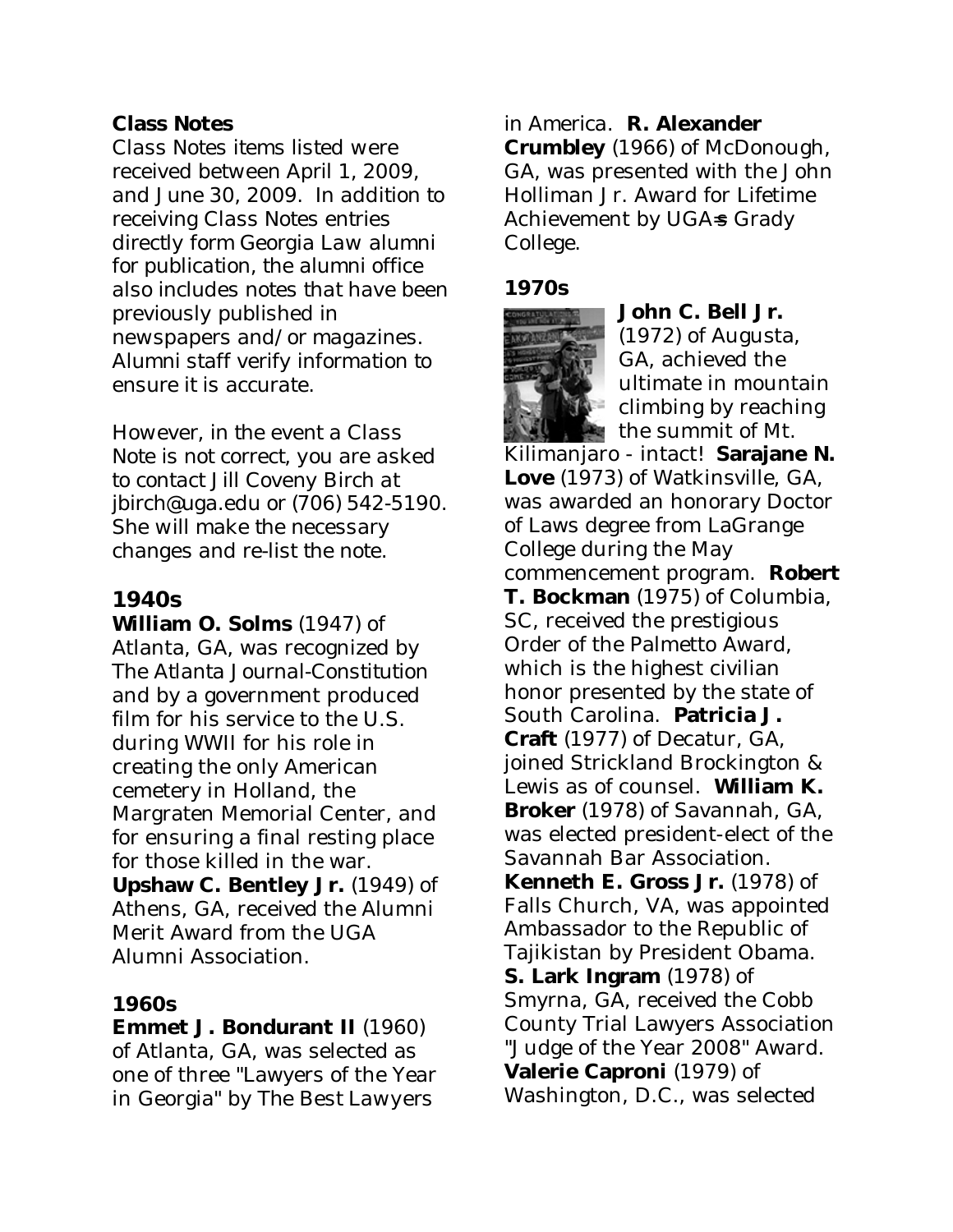### **Class Notes**

*Class Notes items listed were received between April 1, 2009, and June 30, 2009. In addition to receiving Class Notes entries directly form Georgia Law alumni for publication, the alumni office also includes notes that have been previously published in newspapers and/or magazines. Alumni staff verify information to ensure it is accurate.* 

*However, in the event a Class Note is not correct, you are asked to contact Jill Coveny Birch at jbirch@uga.edu or (706) 542-5190. She will make the necessary changes and re-list the note.* 

## **1940s**

**William O. Solms** (1947) of Atlanta, GA, was recognized by *The Atlanta Journal-Constitution*  and by a government produced film for his service to the U.S. during WWII for his role in creating the only American cemetery in Holland, the Margraten Memorial Center, and for ensuring a final resting place for those killed in the war. **Upshaw C. Bentley Jr.** (1949) of Athens, GA, received the Alumni Merit Award from the UGA

Alumni Association.

#### **1960s**

**Emmet J. Bondurant II** (1960) of Atlanta, GA, was selected as one of three "Lawyers of the Year in Georgia" by *The Best Lawyers* 

### *in America*. **R. Alexander**

**Crumbley** (1966) of McDonough, GA, was presented with the John Holliman Jr. Award for Lifetime Achievement by UGA=s Grady College.

#### **1970s**



**John C. Bell Jr.** (1972) of Augusta,

GA, achieved the ultimate in mountain climbing by reaching the summit of Mt.

Kilimanjaro - intact! **Sarajane N. Love** (1973) of Watkinsville, GA, was awarded an honorary Doctor of Laws degree from LaGrange College during the May commencement program. **Robert T. Bockman** (1975) of Columbia, SC, received the prestigious Order of the Palmetto Award, which is the highest civilian honor presented by the state of South Carolina. **Patricia J. Craft** (1977) of Decatur, GA, joined Strickland Brockington & Lewis as of counsel. **William K. Broker** (1978) of Savannah, GA, was elected president-elect of the Savannah Bar Association. **Kenneth E. Gross Jr.** (1978) of Falls Church, VA, was appointed Ambassador to the Republic of Tajikistan by President Obama. **S. Lark Ingram** (1978) of Smyrna, GA, received the Cobb County Trial Lawyers Association "Judge of the Year 2008" Award. **Valerie Caproni** (1979) of Washington, D.C., was selected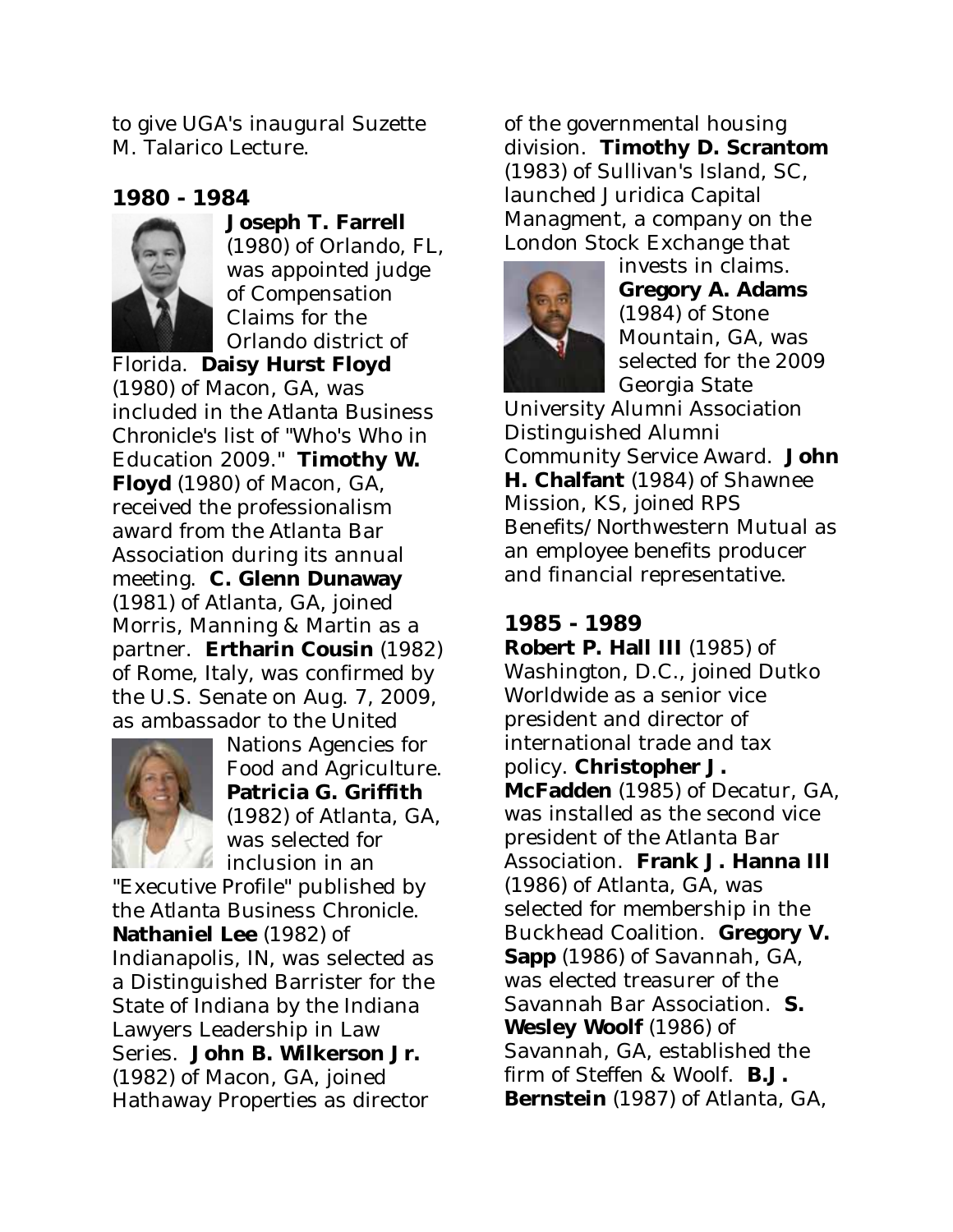to give UGA's inaugural Suzette M. Talarico Lecture.

# **1980 - 1984**



**Joseph T. Farrell** (1980) of Orlando, FL, was appointed judge of Compensation Claims for the Orlando district of

Florida. **Daisy Hurst Floyd** (1980) of Macon, GA, was included in the *Atlanta Business Chronicle's* list of "Who's Who in Education 2009." **Timothy W. Floyd** (1980) of Macon, GA, received the professionalism award from the Atlanta Bar Association during its annual meeting. **C. Glenn Dunaway** (1981) of Atlanta, GA, joined Morris, Manning & Martin as a partner. **Ertharin Cousin** (1982) of Rome, Italy, was confirmed by the U.S. Senate on Aug. 7, 2009, as ambassador to the United



Nations Agencies for Food and Agriculture. **Patricia G. Griffith** (1982) of Atlanta, GA, was selected for inclusion in an

"Executive Profile" published by the *Atlanta Business Chronicle*. **Nathaniel Lee** (1982) of Indianapolis, IN, was selected as a Distinguished Barrister for the State of Indiana by the Indiana Lawyers Leadership in Law Series. **John B. Wilkerson Jr.** (1982) of Macon, GA, joined Hathaway Properties as director

of the governmental housing division. **Timothy D. Scrantom** (1983) of Sullivan's Island, SC, launched Juridica Capital Managment, a company on the London Stock Exchange that



invests in claims. **Gregory A. Adams** (1984) of Stone Mountain, GA, was selected for the 2009 Georgia State

University Alumni Association Distinguished Alumni Community Service Award. **John H. Chalfant** (1984) of Shawnee Mission, KS, joined RPS Benefits/Northwestern Mutual as an employee benefits producer and financial representative.

### **1985 - 1989 Robert P. Hall III** (1985) of Washington, D.C., joined Dutko Worldwide as a senior vice president and director of international trade and tax policy. **Christopher J. McFadden** (1985) of Decatur, GA, was installed as the second vice president of the Atlanta Bar Association. **Frank J. Hanna III** (1986) of Atlanta, GA, was selected for membership in the Buckhead Coalition. **Gregory V. Sapp** (1986) of Savannah, GA, was elected treasurer of the Savannah Bar Association. **S. Wesley Woolf** (1986) of Savannah, GA, established the firm of Steffen & Woolf. **B.J. Bernstein** (1987) of Atlanta, GA,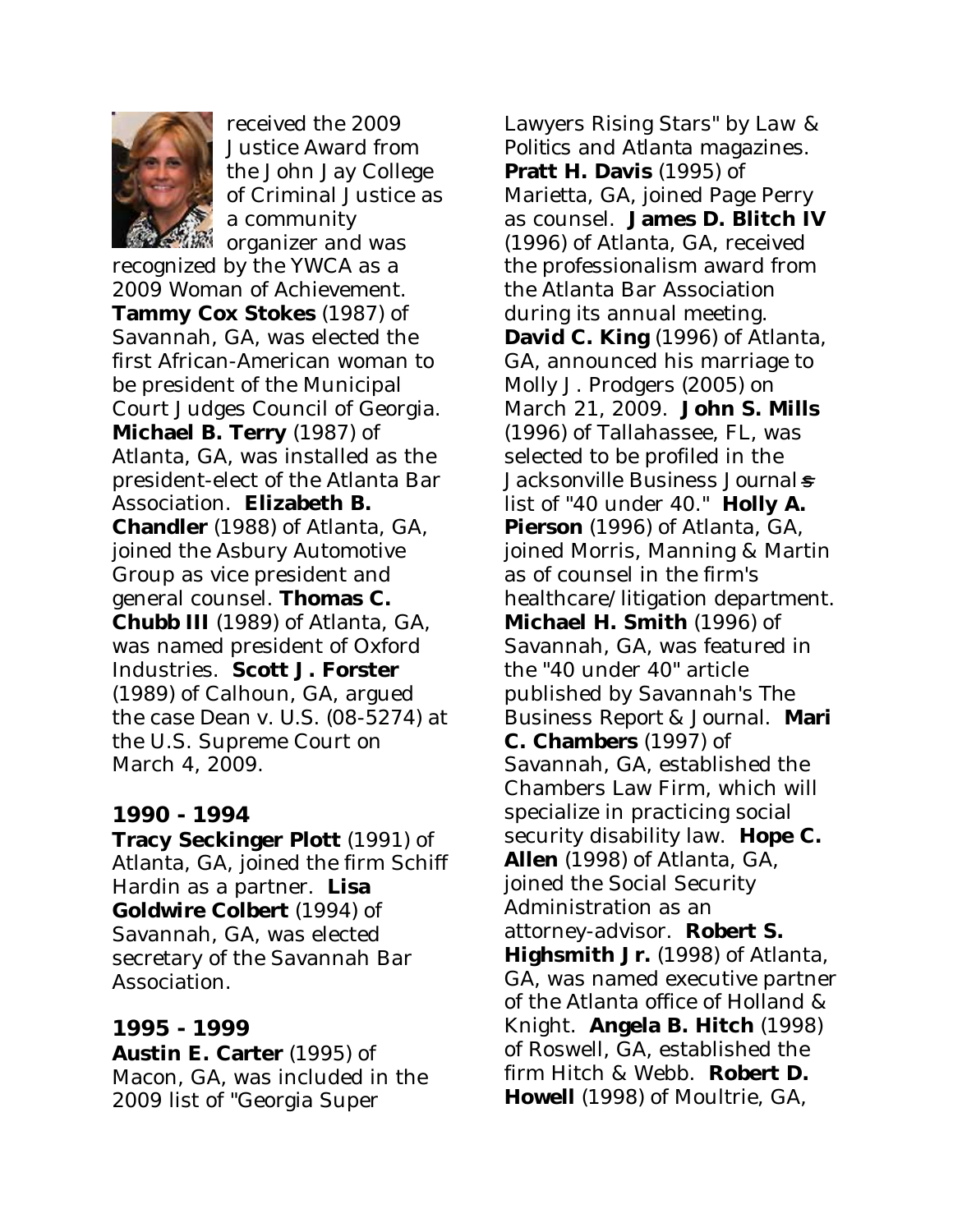

received the 2009 Justice Award from the John Jay College of Criminal Justice as a community

organizer and was recognized by the YWCA as a 2009 Woman of Achievement. **Tammy Cox Stokes** (1987) of Savannah, GA, was elected the first African-American woman to be president of the Municipal Court Judges Council of Georgia. **Michael B. Terry** (1987) of Atlanta, GA, was installed as the president-elect of the Atlanta Bar Association. **Elizabeth B. Chandler** (1988) of Atlanta, GA, joined the Asbury Automotive Group as vice president and general counsel. **Thomas C. Chubb III** (1989) of Atlanta, GA, was named president of Oxford Industries. **Scott J. Forster** (1989) of Calhoun, GA, argued the case *Dean v. U.S.* (08-5274) at the U.S. Supreme Court on March 4, 2009.

## **1990 - 1994**

**Tracy Seckinger Plott** (1991) of Atlanta, GA, joined the firm Schiff Hardin as a partner. **Lisa Goldwire Colbert** (1994) of Savannah, GA, was elected secretary of the Savannah Bar Association.

# **1995 - 1999**

**Austin E. Carter** (1995) of Macon, GA, was included in the 2009 list of "Georgia Super

Lawyers Rising Stars" by *Law & Politics* and *Atlanta* magazines. **Pratt H. Davis** (1995) of Marietta, GA, joined Page Perry as counsel. **James D. Blitch IV** (1996) of Atlanta, GA, received the professionalism award from the Atlanta Bar Association during its annual meeting. **David C. King** (1996) of Atlanta, GA, announced his marriage to Molly J. Prodgers (2005) on March 21, 2009. **John S. Mills** (1996) of Tallahassee, FL, was selected to be profiled in the *Jacksonville Business Journal*=*s* list of "40 under 40." **Holly A. Pierson** (1996) of Atlanta, GA, joined Morris, Manning & Martin as of counsel in the firm's healthcare/litigation department. **Michael H. Smith** (1996) of Savannah, GA, was featured in the "40 under 40" article published by Savannah's *The Business Report & Journal*. **Mari C. Chambers** (1997) of Savannah, GA, established the Chambers Law Firm, which will specialize in practicing social security disability law. **Hope C. Allen** (1998) of Atlanta, GA, joined the Social Security Administration as an attorney-advisor. **Robert S. Highsmith Jr.** (1998) of Atlanta, GA, was named executive partner of the Atlanta office of Holland & Knight. **Angela B. Hitch** (1998) of Roswell, GA, established the firm Hitch & Webb. **Robert D. Howell** (1998) of Moultrie, GA,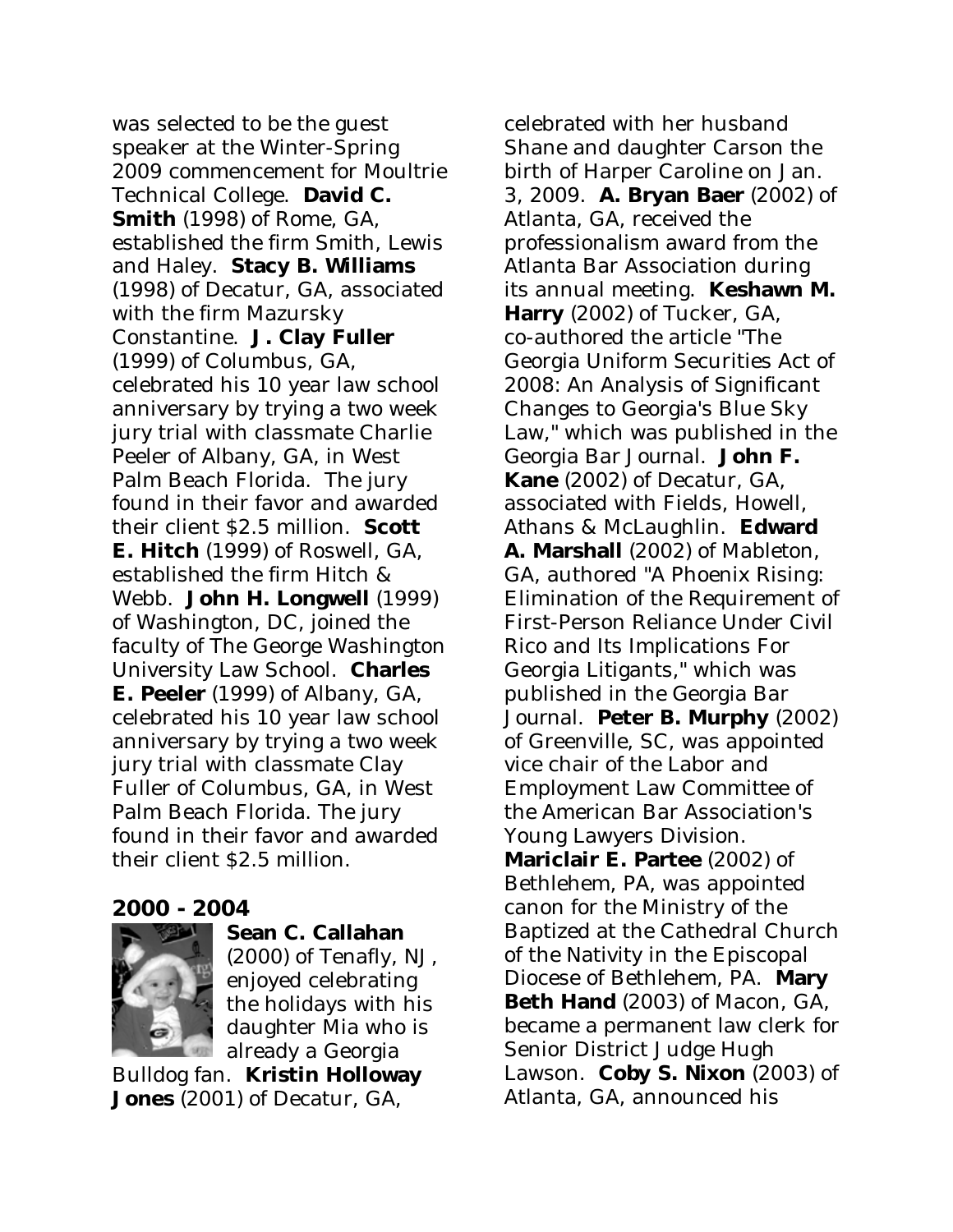was selected to be the guest speaker at the Winter-Spring 2009 commencement for Moultrie Technical College. **David C. Smith** (1998) of Rome, GA, established the firm Smith, Lewis and Haley. **Stacy B. Williams** (1998) of Decatur, GA, associated with the firm Mazursky Constantine. **J. Clay Fuller** (1999) of Columbus, GA, celebrated his 10 year law school anniversary by trying a two week jury trial with classmate Charlie Peeler of Albany, GA, in West Palm Beach Florida. The jury found in their favor and awarded their client \$2.5 million. **Scott E. Hitch** (1999) of Roswell, GA, established the firm Hitch & Webb. **John H. Longwell** (1999) of Washington, DC, joined the faculty of The George Washington University Law School. **Charles E. Peeler** (1999) of Albany, GA, celebrated his 10 year law school anniversary by trying a two week jury trial with classmate Clay Fuller of Columbus, GA, in West Palm Beach Florida. The jury found in their favor and awarded their client \$2.5 million.

#### **2000 - 2004**



**Sean C. Callahan**

(2000) of Tenafly, NJ, enjoyed celebrating the holidays with his daughter Mia who is already a Georgia

Bulldog fan. **Kristin Holloway Jones** (2001) of Decatur, GA,

celebrated with her husband Shane and daughter Carson the birth of Harper Caroline on Jan. 3, 2009. **A. Bryan Baer** (2002) of Atlanta, GA, received the professionalism award from the Atlanta Bar Association during its annual meeting. **Keshawn M. Harry** (2002) of Tucker, GA, co-authored the article "The Georgia Uniform Securities Act of 2008: An Analysis of Significant Changes to Georgia's Blue Sky Law," which was published in the *Georgia Bar Journal*. **John F. Kane** (2002) of Decatur, GA, associated with Fields, Howell, Athans & McLaughlin. **Edward A. Marshall** (2002) of Mableton, GA, authored "A Phoenix Rising: Elimination of the Requirement of First-Person Reliance Under Civil Rico and Its Implications For Georgia Litigants," which was published in the *Georgia Bar Journal*. **Peter B. Murphy** (2002) of Greenville, SC, was appointed vice chair of the Labor and Employment Law Committee of the American Bar Association's Young Lawyers Division. **Mariclair E. Partee** (2002) of Bethlehem, PA, was appointed canon for the Ministry of the Baptized at the Cathedral Church of the Nativity in the Episcopal Diocese of Bethlehem, PA. **Mary Beth Hand** (2003) of Macon, GA, became a permanent law clerk for Senior District Judge Hugh Lawson. **Coby S. Nixon** (2003) of Atlanta, GA, announced his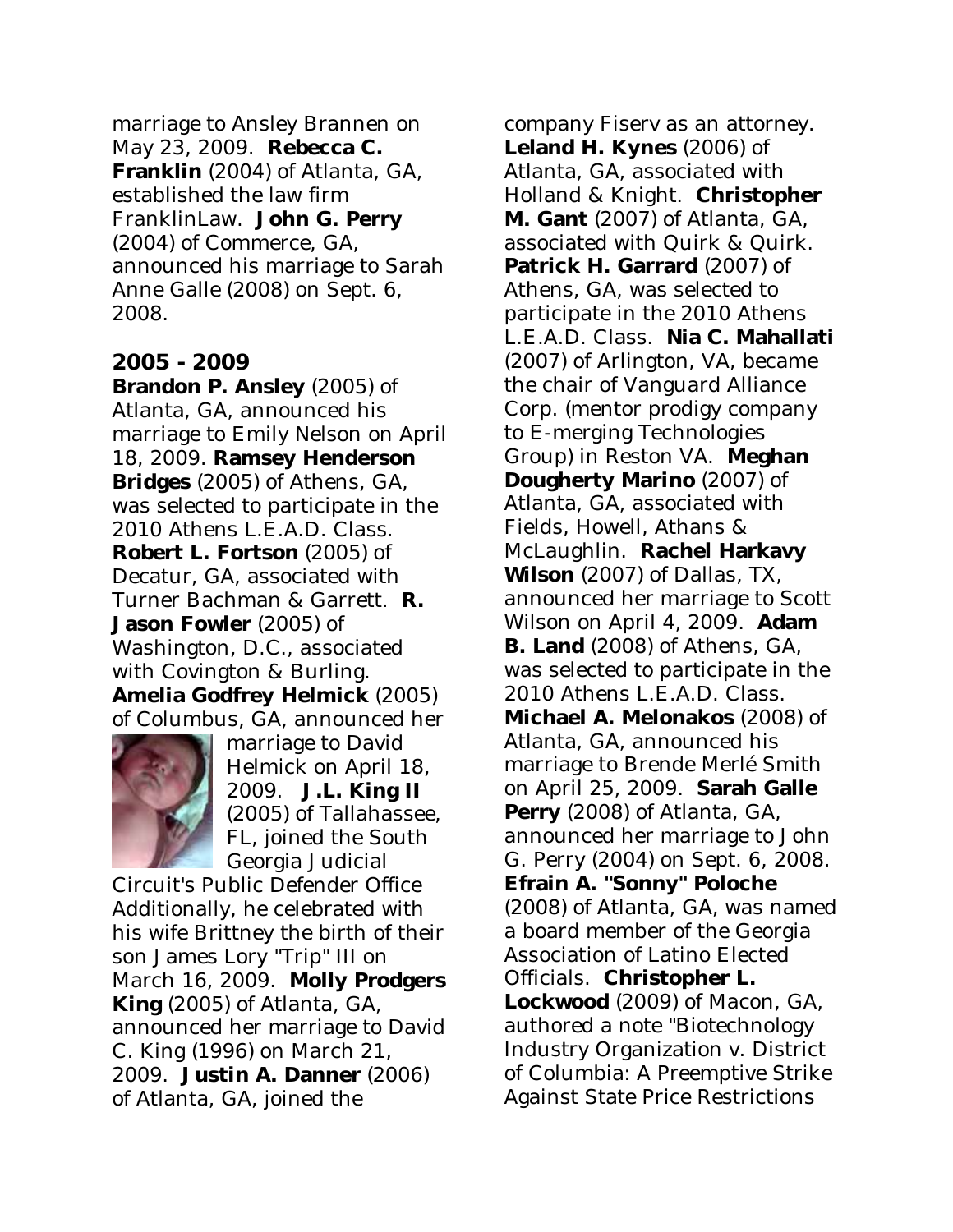marriage to Ansley Brannen on May 23, 2009. **Rebecca C. Franklin** (2004) of Atlanta, GA, established the law firm FranklinLaw. **John G. Perry** (2004) of Commerce, GA, announced his marriage to Sarah Anne Galle (2008) on Sept. 6, 2008.

#### **2005 - 2009**

**Brandon P. Ansley** (2005) of Atlanta, GA, announced his marriage to Emily Nelson on April 18, 2009. **Ramsey Henderson Bridges** (2005) of Athens, GA, was selected to participate in the 2010 Athens L.E.A.D. Class. **Robert L. Fortson** (2005) of Decatur, GA, associated with Turner Bachman & Garrett. **R. Jason Fowler** (2005) of Washington, D.C., associated with Covington & Burling. **Amelia Godfrey Helmick** (2005) of Columbus, GA, announced her



marriage to David Helmick on April 18, 2009. **J.L. King II** (2005) of Tallahassee, FL, joined the South Georgia Judicial

Circuit's Public Defender Office Additionally, he celebrated with his wife Brittney the birth of their son James Lory "Trip" III on March 16, 2009. **Molly Prodgers King** (2005) of Atlanta, GA, announced her marriage to David C. King (1996) on March 21, 2009. **Justin A. Danner** (2006) of Atlanta, GA, joined the

company Fiserv as an attorney. **Leland H. Kynes** (2006) of Atlanta, GA, associated with Holland & Knight. **Christopher M. Gant** (2007) of Atlanta, GA, associated with Quirk & Quirk. **Patrick H. Garrard** (2007) of Athens, GA, was selected to participate in the 2010 Athens L.E.A.D. Class. **Nia C. Mahallati** (2007) of Arlington, VA, became the chair of Vanguard Alliance Corp. (mentor prodigy company to E-merging Technologies Group) in Reston VA. **Meghan Dougherty Marino** (2007) of Atlanta, GA, associated with Fields, Howell, Athans & McLaughlin. **Rachel Harkavy Wilson** (2007) of Dallas, TX, announced her marriage to Scott Wilson on April 4, 2009. **Adam B. Land** (2008) of Athens, GA, was selected to participate in the 2010 Athens L.E.A.D. Class. **Michael A. Melonakos** (2008) of Atlanta, GA, announced his marriage to Brende Merlé Smith on April 25, 2009. **Sarah Galle Perry** (2008) of Atlanta, GA, announced her marriage to John G. Perry (2004) on Sept. 6, 2008. **Efrain A. "Sonny" Poloche** (2008) of Atlanta, GA, was named a board member of the Georgia Association of Latino Elected Officials. **Christopher L. Lockwood** (2009) of Macon, GA, authored a note "Biotechnology Industry Organization v. District of Columbia: A Preemptive Strike Against State Price Restrictions